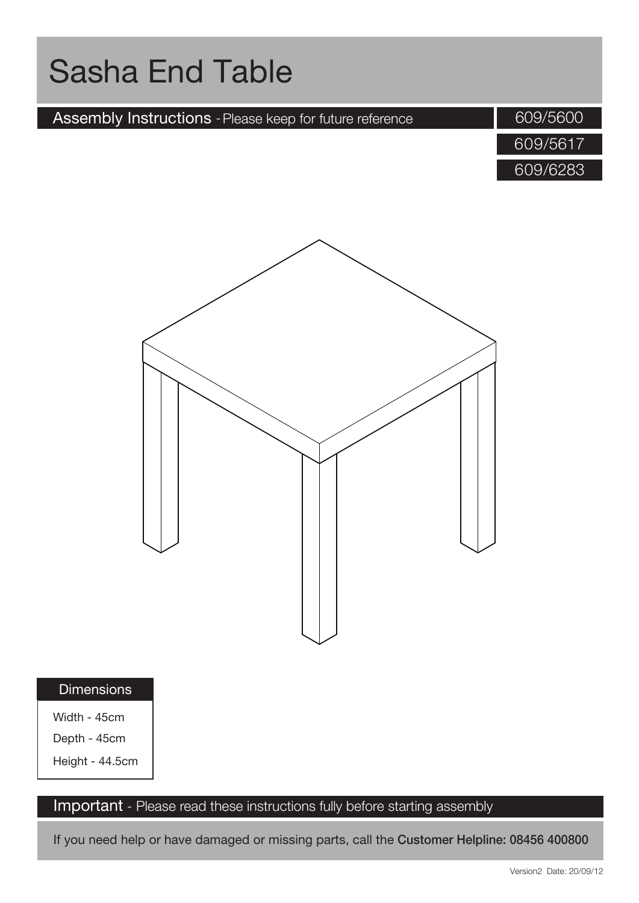

If you need help or have damaged or missing parts, call the Customer Helpline: 08456 400800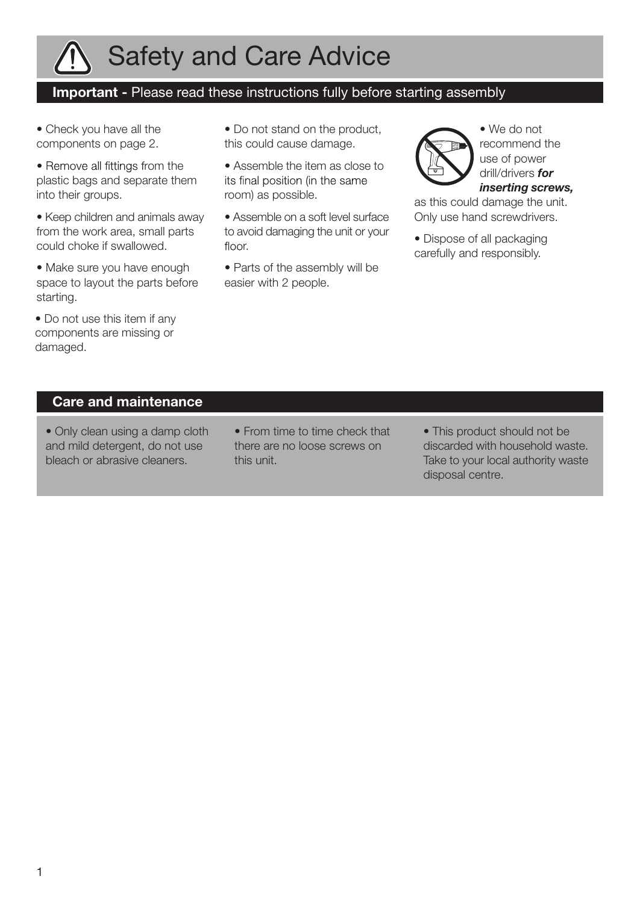

## Safety and Care Advice

### Important - Please read these instructions fully before starting assembly

- Check you have all the components on page 2.
- Remove all fittings from the plastic bags and separate them into their groups.
- Keep children and animals away from the work area, small parts could choke if swallowed.
- Make sure you have enough space to layout the parts before starting.
- Do not use this item if any components are missing or damaged.
- Do not stand on the product, this could cause damage.
- Assemble the item as close to its final position (in the same room) as possible.
- Assemble on a soft level surface to avoid damaging the unit or your floor.
- Parts of the assembly will be easier with 2 people.



• We do not recommend the use of power drill/drivers *for inserting screws,*

as this could damage the unit. Only use hand screwdrivers.

• Dispose of all packaging carefully and responsibly.

#### Care and maintenance

- Only clean using a damp cloth and mild detergent, do not use bleach or abrasive cleaners.
- From time to time check that there are no loose screws on this unit.
- This product should not be discarded with household waste. Take to your local authority waste disposal centre.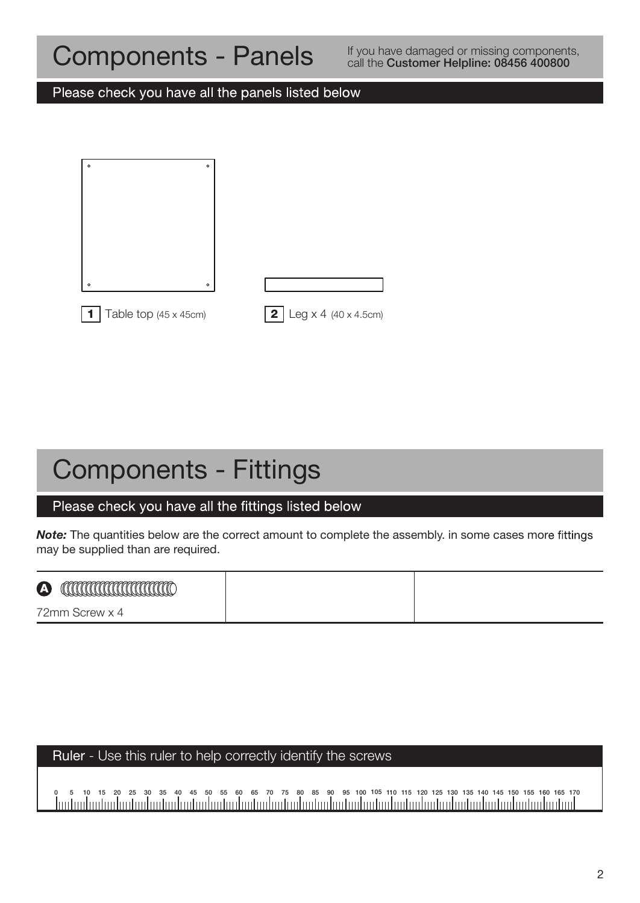### Components - Panels

If you have damaged or missing components, call the Customer Helpline: 08456 400800

Please check you have all the panels listed below

| $\circ$<br>$\circ$    |                                                     |
|-----------------------|-----------------------------------------------------|
|                       |                                                     |
|                       |                                                     |
|                       |                                                     |
|                       |                                                     |
| $\circ$<br>$\circ$    |                                                     |
| Table top (45 x 45cm) | $\log x 4 (40 x 4.5 cm)$<br>$\overline{\mathbf{2}}$ |

### Components - Fittings

### Please check you have all the fittings listed below

**Note:** The quantities below are the correct amount to complete the assembly. in some cases more fittings may be supplied than are required.

| $\boldsymbol{\Delta}$<br>w<br>WUWWWWWWWWWWW |  |
|---------------------------------------------|--|
| 72mm<br>Screw x 4                           |  |

### Ruler - Use this ruler to help correctly identify the screws

0 5 10 15 20 25 30 35 40 45 50 55 60 65 70 75 80 85 90 95 100 105 110 115 120 125 130 135 140 145 150 155 160 165 170